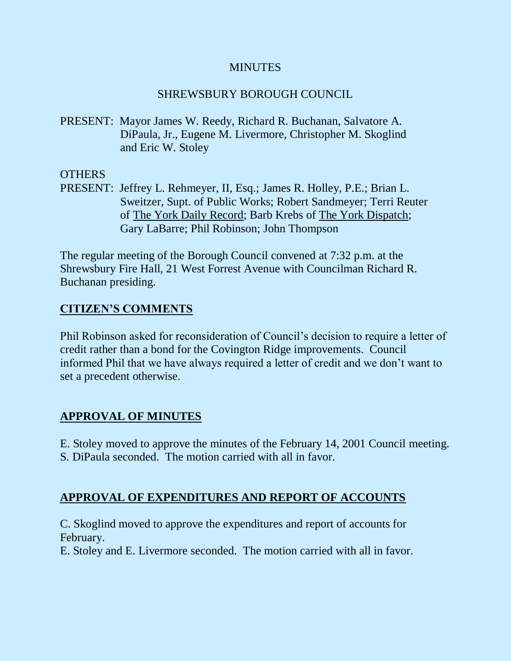### **MINUTES**

## SHREWSBURY BOROUGH COUNCIL

PRESENT: Mayor James W. Reedy, Richard R. Buchanan, Salvatore A. DiPaula, Jr., Eugene M. Livermore, Christopher M. Skoglind and Eric W. Stoley

## OTHERS

PRESENT: Jeffrey L. Rehmeyer, II, Esq.; James R. Holley, P.E.; Brian L. Sweitzer, Supt. of Public Works; Robert Sandmeyer; Terri Reuter of The York Daily Record; Barb Krebs of The York Dispatch; Gary LaBarre; Phil Robinson; John Thompson

The regular meeting of the Borough Council convened at 7:32 p.m. at the Shrewsbury Fire Hall, 21 West Forrest Avenue with Councilman Richard R. Buchanan presiding.

# **CITIZEN'S COMMENTS**

Phil Robinson asked for reconsideration of Council's decision to require a letter of credit rather than a bond for the Covington Ridge improvements. Council informed Phil that we have always required a letter of credit and we don't want to set a precedent otherwise.

# **APPROVAL OF MINUTES**

E. Stoley moved to approve the minutes of the February 14, 2001 Council meeting.

S. DiPaula seconded. The motion carried with all in favor.

# **APPROVAL OF EXPENDITURES AND REPORT OF ACCOUNTS**

C. Skoglind moved to approve the expenditures and report of accounts for February.

E. Stoley and E. Livermore seconded. The motion carried with all in favor.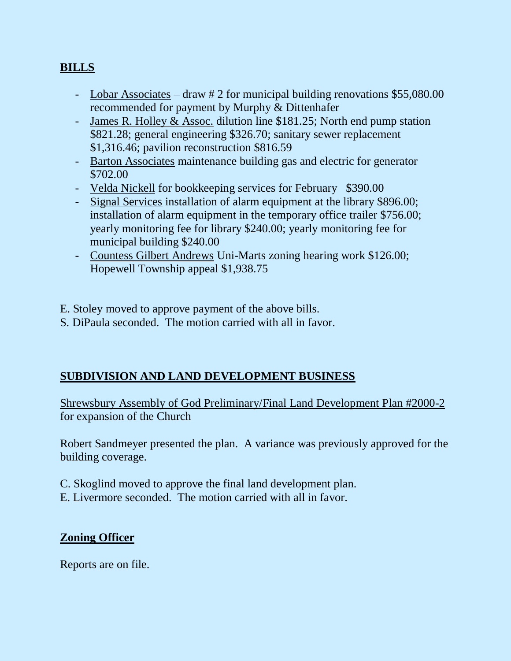# **BILLS**

- Lobar Associates draw # 2 for municipal building renovations \$55,080.00 recommended for payment by Murphy & Dittenhafer
- James R. Holley & Assoc. dilution line \$181.25; North end pump station \$821.28; general engineering \$326.70; sanitary sewer replacement \$1,316.46; pavilion reconstruction \$816.59
- Barton Associates maintenance building gas and electric for generator \$702.00
- Velda Nickell for bookkeeping services for February \$390.00
- Signal Services installation of alarm equipment at the library \$896.00; installation of alarm equipment in the temporary office trailer \$756.00; yearly monitoring fee for library \$240.00; yearly monitoring fee for municipal building \$240.00
- Countess Gilbert Andrews Uni-Marts zoning hearing work \$126.00; Hopewell Township appeal \$1,938.75

E. Stoley moved to approve payment of the above bills.

S. DiPaula seconded. The motion carried with all in favor.

# **SUBDIVISION AND LAND DEVELOPMENT BUSINESS**

Shrewsbury Assembly of God Preliminary/Final Land Development Plan #2000-2 for expansion of the Church

Robert Sandmeyer presented the plan. A variance was previously approved for the building coverage.

- C. Skoglind moved to approve the final land development plan.
- E. Livermore seconded. The motion carried with all in favor.

### **Zoning Officer**

Reports are on file.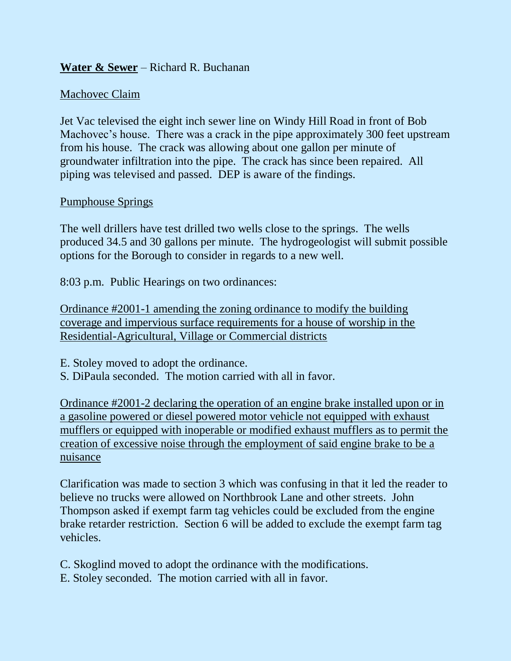## **Water & Sewer** – Richard R. Buchanan

### Machovec Claim

Jet Vac televised the eight inch sewer line on Windy Hill Road in front of Bob Machovec's house. There was a crack in the pipe approximately 300 feet upstream from his house. The crack was allowing about one gallon per minute of groundwater infiltration into the pipe. The crack has since been repaired. All piping was televised and passed. DEP is aware of the findings.

#### Pumphouse Springs

The well drillers have test drilled two wells close to the springs. The wells produced 34.5 and 30 gallons per minute. The hydrogeologist will submit possible options for the Borough to consider in regards to a new well.

8:03 p.m. Public Hearings on two ordinances:

Ordinance #2001-1 amending the zoning ordinance to modify the building coverage and impervious surface requirements for a house of worship in the Residential-Agricultural, Village or Commercial districts

E. Stoley moved to adopt the ordinance.

S. DiPaula seconded. The motion carried with all in favor.

Ordinance #2001-2 declaring the operation of an engine brake installed upon or in a gasoline powered or diesel powered motor vehicle not equipped with exhaust mufflers or equipped with inoperable or modified exhaust mufflers as to permit the creation of excessive noise through the employment of said engine brake to be a nuisance

Clarification was made to section 3 which was confusing in that it led the reader to believe no trucks were allowed on Northbrook Lane and other streets. John Thompson asked if exempt farm tag vehicles could be excluded from the engine brake retarder restriction. Section 6 will be added to exclude the exempt farm tag vehicles.

C. Skoglind moved to adopt the ordinance with the modifications.

E. Stoley seconded. The motion carried with all in favor.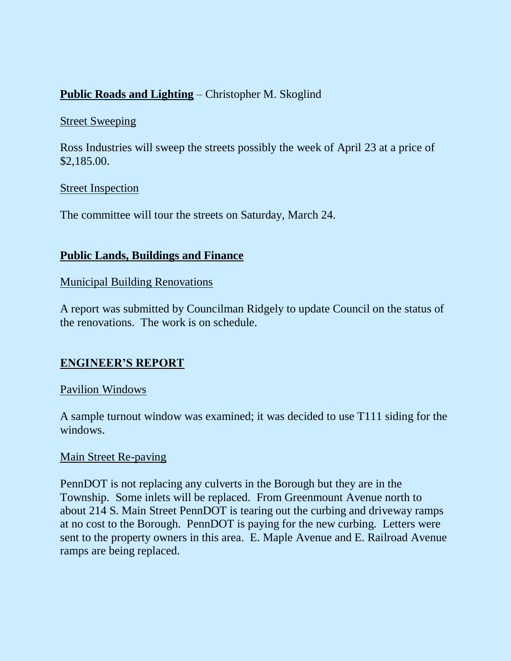# **Public Roads and Lighting** – Christopher M. Skoglind

#### Street Sweeping

Ross Industries will sweep the streets possibly the week of April 23 at a price of \$2,185.00.

#### Street Inspection

The committee will tour the streets on Saturday, March 24.

### **Public Lands, Buildings and Finance**

#### Municipal Building Renovations

A report was submitted by Councilman Ridgely to update Council on the status of the renovations. The work is on schedule.

### **ENGINEER'S REPORT**

#### Pavilion Windows

A sample turnout window was examined; it was decided to use T111 siding for the windows.

#### Main Street Re-paving

PennDOT is not replacing any culverts in the Borough but they are in the Township. Some inlets will be replaced. From Greenmount Avenue north to about 214 S. Main Street PennDOT is tearing out the curbing and driveway ramps at no cost to the Borough. PennDOT is paying for the new curbing. Letters were sent to the property owners in this area. E. Maple Avenue and E. Railroad Avenue ramps are being replaced.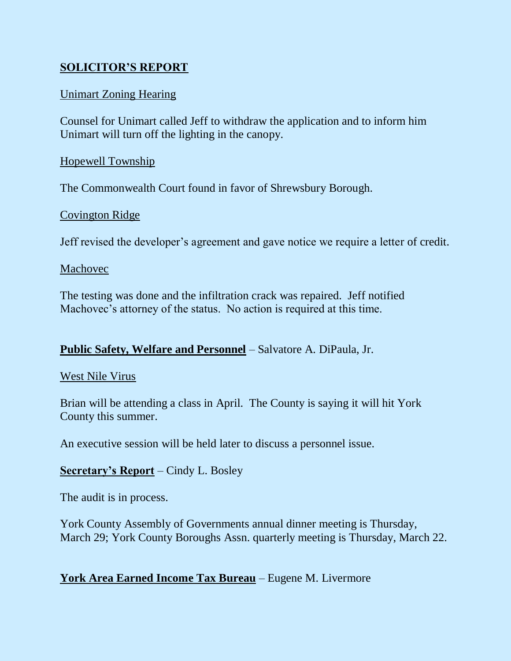# **SOLICITOR'S REPORT**

### Unimart Zoning Hearing

Counsel for Unimart called Jeff to withdraw the application and to inform him Unimart will turn off the lighting in the canopy.

#### Hopewell Township

The Commonwealth Court found in favor of Shrewsbury Borough.

#### Covington Ridge

Jeff revised the developer's agreement and gave notice we require a letter of credit.

#### Machovec

The testing was done and the infiltration crack was repaired. Jeff notified Machovec's attorney of the status. No action is required at this time.

### **Public Safety, Welfare and Personnel** – Salvatore A. DiPaula, Jr.

#### West Nile Virus

Brian will be attending a class in April. The County is saying it will hit York County this summer.

An executive session will be held later to discuss a personnel issue.

### **Secretary's Report** – Cindy L. Bosley

The audit is in process.

York County Assembly of Governments annual dinner meeting is Thursday, March 29; York County Boroughs Assn. quarterly meeting is Thursday, March 22.

# **York Area Earned Income Tax Bureau** – Eugene M. Livermore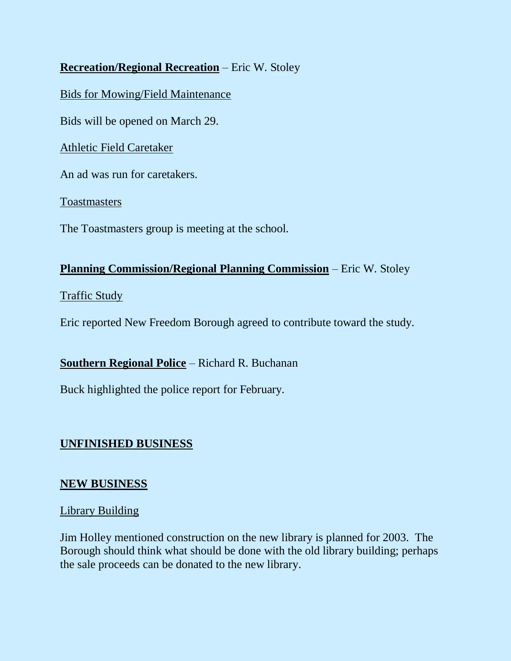# **Recreation/Regional Recreation** – Eric W. Stoley

Bids for Mowing/Field Maintenance

Bids will be opened on March 29.

Athletic Field Caretaker

An ad was run for caretakers.

**Toastmasters** 

The Toastmasters group is meeting at the school.

### **Planning Commission/Regional Planning Commission** – Eric W. Stoley

#### Traffic Study

Eric reported New Freedom Borough agreed to contribute toward the study.

**Southern Regional Police** – Richard R. Buchanan

Buck highlighted the police report for February.

# **UNFINISHED BUSINESS**

### **NEW BUSINESS**

#### Library Building

Jim Holley mentioned construction on the new library is planned for 2003. The Borough should think what should be done with the old library building; perhaps the sale proceeds can be donated to the new library.